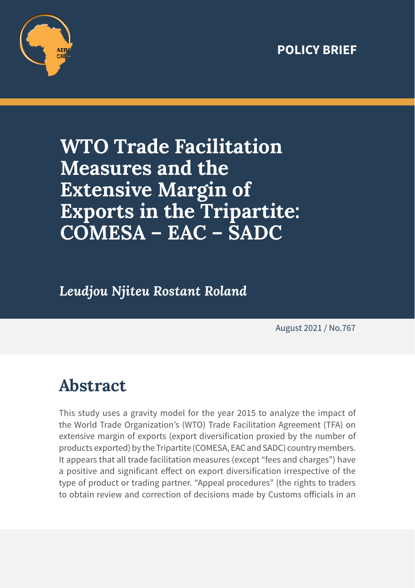#### **POLICY BRIEF**



# **WTO Trade Facilitation Measures and the Extensive Margin of Exports in the Tripartite: COMESA – EAC – SADC**

*Leudjou Njiteu Rostant Roland*

August 2021 / No.767

## **Abstract**

This study uses a gravity model for the year 2015 to analyze the impact of the World Trade Organization's (WTO) Trade Facilitation Agreement (TFA) on extensive margin of exports (export diversification proxied by the number of products exported) by the Tripartite (COMESA, EAC and SADC) country members. It appears that all trade facilitation measures (except "fees and charges") have a positive and significant effect on export diversification irrespective of the type of product or trading partner. "Appeal procedures" (the rights to traders to obtain review and correction of decisions made by Customs officials in an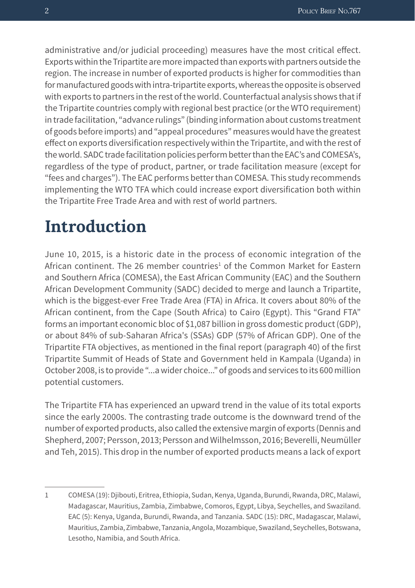administrative and/or judicial proceeding) measures have the most critical effect. Exports within the Tripartite are more impacted than exports with partners outside the region. The increase in number of exported products is higher for commodities than for manufactured goods with intra-tripartite exports, whereas the opposite is observed with exports to partners in the rest of the world. Counterfactual analysis shows that if the Tripartite countries comply with regional best practice (or the WTO requirement) in trade facilitation, "advance rulings" (binding information about customs treatment of goods before imports) and "appeal procedures" measures would have the greatest effect on exports diversification respectively within the Tripartite, and with the rest of the world. SADC trade facilitation policies perform better than the EAC's and COMESA's, regardless of the type of product, partner, or trade facilitation measure (except for "fees and charges"). The EAC performs better than COMESA. This study recommends implementing the WTO TFA which could increase export diversification both within the Tripartite Free Trade Area and with rest of world partners.

#### **Introduction**

June 10, 2015, is a historic date in the process of economic integration of the African continent. The 26 member countries<sup>1</sup> of the Common Market for Eastern and Southern Africa (COMESA), the East African Community (EAC) and the Southern African Development Community (SADC) decided to merge and launch a Tripartite, which is the biggest-ever Free Trade Area (FTA) in Africa. It covers about 80% of the African continent, from the Cape (South Africa) to Cairo (Egypt). This "Grand FTA" forms an important economic bloc of \$1,087 billion in gross domestic product (GDP), or about 84% of sub-Saharan Africa's (SSAs) GDP (57% of African GDP). One of the Tripartite FTA objectives, as mentioned in the final report (paragraph 40) of the first Tripartite Summit of Heads of State and Government held in Kampala (Uganda) in October 2008, is to provide "...a wider choice..." of goods and services to its 600 million potential customers.

The Tripartite FTA has experienced an upward trend in the value of its total exports since the early 2000s. The contrasting trade outcome is the downward trend of the number of exported products, also called the extensive margin of exports (Dennis and Shepherd, 2007; Persson, 2013; Persson and Wilhelmsson, 2016; Beverelli, Neumüller and Teh, 2015). This drop in the number of exported products means a lack of export

<sup>1</sup> COMESA (19): Djibouti, Eritrea, Ethiopia, Sudan, Kenya, Uganda, Burundi, Rwanda, DRC, Malawi, Madagascar, Mauritius, Zambia, Zimbabwe, Comoros, Egypt, Libya, Seychelles, and Swaziland. EAC (5): Kenya, Uganda, Burundi, Rwanda, and Tanzania. SADC (15): DRC, Madagascar, Malawi, Mauritius, Zambia, Zimbabwe, Tanzania, Angola, Mozambique, Swaziland, Seychelles, Botswana, Lesotho, Namibia, and South Africa.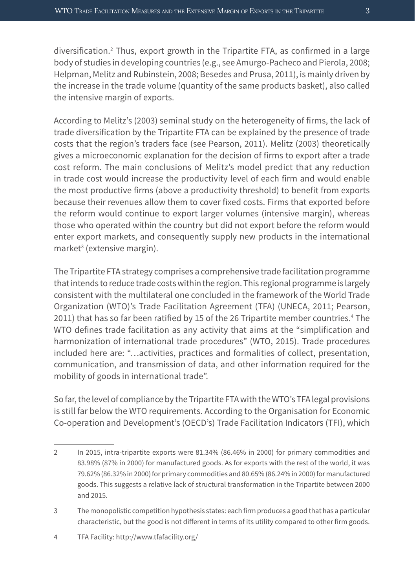diversification.2 Thus, export growth in the Tripartite FTA, as confirmed in a large body of studies in developing countries (e.g., see Amurgo-Pacheco and Pierola, 2008; Helpman, Melitz and Rubinstein, 2008; Besedes and Prusa, 2011), is mainly driven by the increase in the trade volume (quantity of the same products basket), also called the intensive margin of exports.

According to Melitz's (2003) seminal study on the heterogeneity of firms, the lack of trade diversification by the Tripartite FTA can be explained by the presence of trade costs that the region's traders face (see Pearson, 2011). Melitz (2003) theoretically gives a microeconomic explanation for the decision of firms to export after a trade cost reform. The main conclusions of Melitz's model predict that any reduction in trade cost would increase the productivity level of each firm and would enable the most productive firms (above a productivity threshold) to benefit from exports because their revenues allow them to cover fixed costs. Firms that exported before the reform would continue to export larger volumes (intensive margin), whereas those who operated within the country but did not export before the reform would enter export markets, and consequently supply new products in the international market3 (extensive margin).

The Tripartite FTA strategy comprises a comprehensive trade facilitation programme that intends to reduce trade costs within the region. This regional programme is largely consistent with the multilateral one concluded in the framework of the World Trade Organization (WTO)'s Trade Facilitation Agreement (TFA) (UNECA, 2011; Pearson, 2011) that has so far been ratified by 15 of the 26 Tripartite member countries.<sup>4</sup> The WTO defines trade facilitation as any activity that aims at the "simplification and harmonization of international trade procedures" (WTO, 2015). Trade procedures included here are: "…activities, practices and formalities of collect, presentation, communication, and transmission of data, and other information required for the mobility of goods in international trade".

So far, the level of compliance by the Tripartite FTA with the WTO's TFA legal provisions is still far below the WTO requirements. According to the Organisation for Economic Co-operation and Development's (OECD's) Trade Facilitation Indicators (TFI), which

- 3 The monopolistic competition hypothesis states: each firm produces a good that has a particular characteristic, but the good is not different in terms of its utility compared to other firm goods.
- 4 TFA Facility: http://www.tfafacility.org/

<sup>2</sup> In 2015, intra-tripartite exports were 81.34% (86.46% in 2000) for primary commodities and 83.98% (87% in 2000) for manufactured goods. As for exports with the rest of the world, it was 79.62% (86.32% in 2000) for primary commodities and 80.65% (86.24% in 2000) for manufactured goods. This suggests a relative lack of structural transformation in the Tripartite between 2000 and 2015.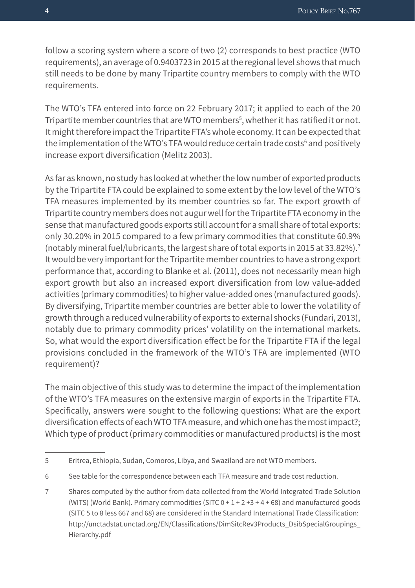follow a scoring system where a score of two (2) corresponds to best practice (WTO requirements), an average of 0.9403723 in 2015 at the regional level shows that much still needs to be done by many Tripartite country members to comply with the WTO requirements.

The WTO's TFA entered into force on 22 February 2017; it applied to each of the 20 Tripartite member countries that are WTO members<sup>5</sup>, whether it has ratified it or not. It might therefore impact the Tripartite FTA's whole economy. It can be expected that the implementation of the WTO's TFA would reduce certain trade costs<sup>6</sup> and positively increase export diversification (Melitz 2003).

As far as known, no study has looked at whether the low number of exported products by the Tripartite FTA could be explained to some extent by the low level of the WTO's TFA measures implemented by its member countries so far. The export growth of Tripartite country members does not augur well for the Tripartite FTA economy in the sense that manufactured goods exports still account for a small share of total exports: only 30.20% in 2015 compared to a few primary commodities that constitute 60.9% (notably mineral fuel/lubricants, the largest share of total exports in 2015 at 33.82%).7 It would be very important for the Tripartite member countries to have a strong export performance that, according to Blanke et al. (2011), does not necessarily mean high export growth but also an increased export diversification from low value-added activities (primary commodities) to higher value-added ones (manufactured goods). By diversifying, Tripartite member countries are better able to lower the volatility of growth through a reduced vulnerability of exports to external shocks (Fundari, 2013), notably due to primary commodity prices' volatility on the international markets. So, what would the export diversification effect be for the Tripartite FTA if the legal provisions concluded in the framework of the WTO's TFA are implemented (WTO requirement)?

The main objective of this study was to determine the impact of the implementation of the WTO's TFA measures on the extensive margin of exports in the Tripartite FTA. Specifically, answers were sought to the following questions: What are the export diversification effects of each WTO TFA measure, and which one has the most impact?; Which type of product (primary commodities or manufactured products) is the most

<sup>5</sup> Eritrea, Ethiopia, Sudan, Comoros, Libya, and Swaziland are not WTO members.

<sup>6</sup> See table for the correspondence between each TFA measure and trade cost reduction.

<sup>7</sup> Shares computed by the author from data collected from the World Integrated Trade Solution (WITS) (World Bank). Primary commodities (SITC  $0 + 1 + 2 + 3 + 4 + 68$ ) and manufactured goods (SITC 5 to 8 less 667 and 68) are considered in the Standard International Trade Classification: http://unctadstat.unctad.org/EN/Classifications/DimSitcRev3Products\_DsibSpecialGroupings\_ Hierarchy.pdf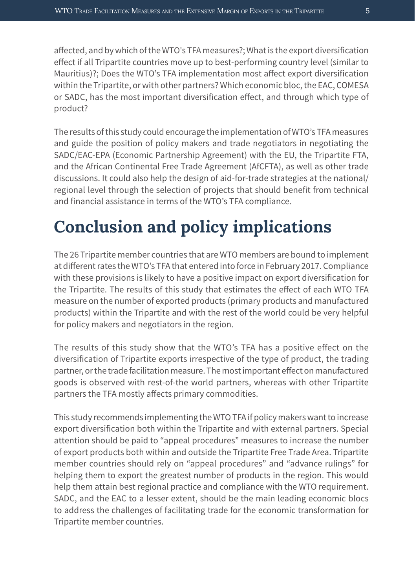affected, and by which of the WTO's TFA measures?; What is the export diversification effect if all Tripartite countries move up to best-performing country level (similar to Mauritius)?; Does the WTO's TFA implementation most affect export diversification within the Tripartite, or with other partners? Which economic bloc, the EAC, COMESA or SADC, has the most important diversification effect, and through which type of product?

The results of this study could encourage the implementation of WTO's TFA measures and guide the position of policy makers and trade negotiators in negotiating the SADC/EAC-EPA (Economic Partnership Agreement) with the EU, the Tripartite FTA, and the African Continental Free Trade Agreement (AfCFTA), as well as other trade discussions. It could also help the design of aid-for-trade strategies at the national/ regional level through the selection of projects that should benefit from technical and financial assistance in terms of the WTO's TFA compliance.

# **Conclusion and policy implications**

The 26 Tripartite member countries that are WTO members are bound to implement at different rates the WTO's TFA that entered into force in February 2017. Compliance with these provisions is likely to have a positive impact on export diversification for the Tripartite. The results of this study that estimates the effect of each WTO TFA measure on the number of exported products (primary products and manufactured products) within the Tripartite and with the rest of the world could be very helpful for policy makers and negotiators in the region.

The results of this study show that the WTO's TFA has a positive effect on the diversification of Tripartite exports irrespective of the type of product, the trading partner, or the trade facilitation measure. The most important effect on manufactured goods is observed with rest-of-the world partners, whereas with other Tripartite partners the TFA mostly affects primary commodities.

This study recommends implementing the WTO TFA if policy makers want to increase export diversification both within the Tripartite and with external partners. Special attention should be paid to "appeal procedures" measures to increase the number of export products both within and outside the Tripartite Free Trade Area. Tripartite member countries should rely on "appeal procedures" and "advance rulings" for helping them to export the greatest number of products in the region. This would help them attain best regional practice and compliance with the WTO requirement. SADC, and the EAC to a lesser extent, should be the main leading economic blocs to address the challenges of facilitating trade for the economic transformation for Tripartite member countries.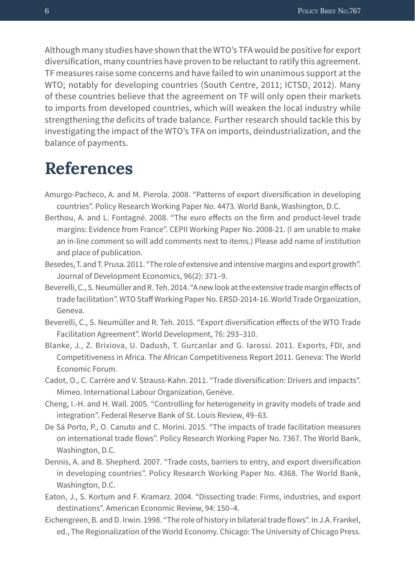Although many studies have shown that the WTO's TFA would be positive for export diversification, many countries have proven to be reluctant to ratify this agreement. TF measures raise some concerns and have failed to win unanimous support at the WTO; notably for developing countries (South Centre, 2011; ICTSD, 2012). Many of these countries believe that the agreement on TF will only open their markets to imports from developed countries, which will weaken the local industry while strengthening the deficits of trade balance. Further research should tackle this by investigating the impact of the WTO's TFA on imports, deindustrialization, and the balance of payments.

#### **References**

- Amurgo-Pacheco, A. and M. Pierola. 2008. "Patterns of export diversification in developing countries". Policy Research Working Paper No. 4473. World Bank, Washington, D.C.
- Berthou, A. and L. Fontagné. 2008. "The euro effects on the firm and product-level trade margins: Evidence from France". CEPII Working Paper No. 2008-21. (I am unable to make an in-line comment so will add comments next to items.) Please add name of institution and place of publication.
- Besedes, T. and T. Prusa. 2011. "The role of extensive and intensive margins and export growth". Journal of Development Economics, 96(2): 371–9.
- Beverelli, C., S. Neumüller and R. Teh. 2014. "A new look at the extensive trade margin effects of trade facilitation". WTO Staff Working Paper No. ERSD-2014-16. World Trade Organization, Geneva.
- Beverelli, C., S. Neumüller and R. Teh. 2015. "Export diversification effects of the WTO Trade Facilitation Agreement". World Development, 76: 293–310.
- Blanke, J., Z. Brixiova, U. Dadush, T. Gurcanlar and G. Iarossi. 2011. Exports, FDI, and Competitiveness in Africa. The African Competitiveness Report 2011. Geneva: The World Economic Forum.
- Cadot, O., C. Carrère and V. Strauss-Kahn. 2011. "Trade diversification: Drivers and impacts". Mimeo. International Labour Organization, Genève.
- Cheng, I.-H. and H. Wall. 2005. "Controlling for heterogeneity in gravity models of trade and integration". Federal Reserve Bank of St. Louis Review, 49–63.
- De Sá Porto, P., O. Canuto and C. Morini. 2015. "The impacts of trade facilitation measures on international trade flows". Policy Research Working Paper No. 7367. The World Bank, Washington, D.C.
- Dennis, A. and B. Shepherd. 2007. "Trade costs, barriers to entry, and export diversification in developing countries". Policy Research Working Paper No. 4368. The World Bank, Washington, D.C.
- Eaton, J., S. Kortum and F. Kramarz. 2004. "Dissecting trade: Firms, industries, and export destinations". American Economic Review, 94: 150–4.
- Eichengreen, B. and D. Irwin. 1998. "The role of history in bilateral trade flows". In J.A. Frankel, ed., The Regionalization of the World Economy. Chicago: The University of Chicago Press.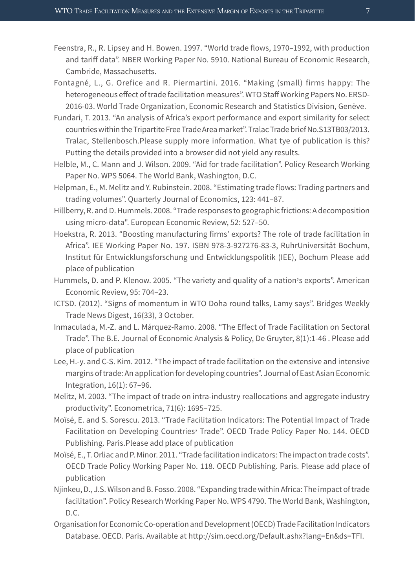- Feenstra, R., R. Lipsey and H. Bowen. 1997. "World trade flows, 1970–1992, with production and tariff data". NBER Working Paper No. 5910. National Bureau of Economic Research, Cambride, Massachusetts.
- Fontagné, L., G. Orefice and R. Piermartini. 2016. "Making (small) firms happy: The heterogeneous effect of trade facilitation measures". WTO Staff Working Papers No. ERSD-2016-03. World Trade Organization, Economic Research and Statistics Division, Genève.
- Fundari, T. 2013. "An analysis of Africa's export performance and export similarity for select countries within the Tripartite Free Trade Area market". Tralac Trade brief No.S13TB03/2013. Tralac, Stellenbosch.Please supply more information. What tye of publication is this? Putting the details provided into a browser did not yield any results.
- Helble, M., C. Mann and J. Wilson. 2009. "Aid for trade facilitation". Policy Research Working Paper No. WPS 5064. The World Bank, Washington, D.C.
- Helpman, E., M. Melitz and Y. Rubinstein. 2008. "Estimating trade flows: Trading partners and trading volumes". Quarterly Journal of Economics, 123: 441–87.
- Hillberry, R. and D. Hummels. 2008. "Trade responses to geographic frictions: A decomposition using micro-data". European Economic Review, 52: 527–50.
- Hoekstra, R. 2013. "Boosting manufacturing firms' exports? The role of trade facilitation in Africa". IEE Working Paper No. 197. ISBN 978-3-927276-83-3, RuhrUniversität Bochum, Institut für Entwicklungsforschung und Entwicklungspolitik (IEE), Bochum Please add place of publication
- Hummels, D. and P. Klenow. 2005. "The variety and quality of a nation's exports". American Economic Review, 95: 704–23.
- ICTSD. (2012). "Signs of momentum in WTO Doha round talks, Lamy says". Bridges Weekly Trade News Digest, 16(33), 3 October.
- Inmaculada, M.-Z. and L. Márquez-Ramo. 2008. "The Effect of Trade Facilitation on Sectoral Trade". The B.E. Journal of Economic Analysis & Policy, De Gruyter, 8(1):1-46 . Please add place of publication
- Lee, H.-y. and C-S. Kim. 2012. "The impact of trade facilitation on the extensive and intensive margins of trade: An application for developing countries". Journal of East Asian Economic Integration, 16(1): 67–96.
- Melitz, M. 2003. "The impact of trade on intra-industry reallocations and aggregate industry productivity". Econometrica, 71(6): 1695–725.
- Moïsé, E. and S. Sorescu. 2013. "Trade Facilitation Indicators: The Potential Impact of Trade Facilitation on Developing Countries' Trade". OECD Trade Policy Paper No. 144. OECD Publishing. Paris.Please add place of publication
- Moïsé, E., T. Orliac and P. Minor. 2011. "Trade facilitation indicators: The impact on trade costs". OECD Trade Policy Working Paper No. 118. OECD Publishing. Paris. Please add place of publication
- Njinkeu, D., J.S. Wilson and B. Fosso. 2008. "Expanding trade within Africa: The impact of trade facilitation". Policy Research Working Paper No. WPS 4790. The World Bank, Washington, D.C.
- Organisation for Economic Co-operation and Development (OECD) Trade Facilitation Indicators Database. OECD. Paris. Available at http://sim.oecd.org/Default.ashx?lang=En&ds=TFI.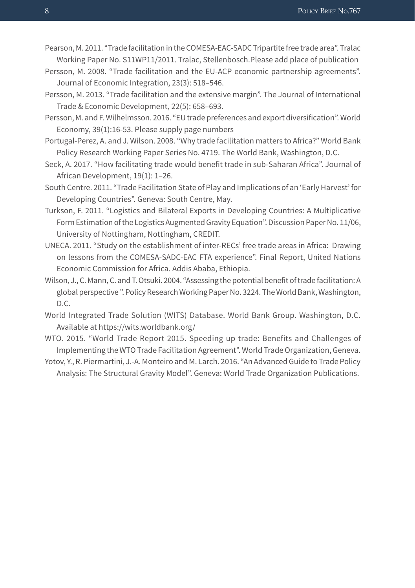Pearson, M. 2011. "Trade facilitation in the COMESA-EAC-SADC Tripartite free trade area". Tralac Working Paper No. S11WP11/2011. Tralac, Stellenbosch.Please add place of publication

- Persson, M. 2008. "Trade facilitation and the EU-ACP economic partnership agreements". Journal of Economic Integration, 23(3): 518–546.
- Persson, M. 2013. "Trade facilitation and the extensive margin". The Journal of International Trade & Economic Development, 22(5): 658–693.
- Persson, M. and F. Wilhelmsson. 2016. "EU trade preferences and export diversification". World Economy, 39(1):16-53. Please supply page numbers
- Portugal-Perez, A. and J. Wilson. 2008. "Why trade facilitation matters to Africa?" World Bank Policy Research Working Paper Series No. 4719. The World Bank, Washington, D.C.
- Seck, A. 2017. "How facilitating trade would benefit trade in sub-Saharan Africa". Journal of African Development, 19(1): 1–26.
- South Centre. 2011. "Trade Facilitation State of Play and Implications of an 'Early Harvest' for Developing Countries". Geneva: South Centre, May.
- Turkson, F. 2011. "Logistics and Bilateral Exports in Developing Countries: A Multiplicative Form Estimation of the Logistics Augmented Gravity Equation". Discussion Paper No. 11/06, University of Nottingham, Nottingham, CREDIT.
- UNECA. 2011. "Study on the establishment of inter-RECs' free trade areas in Africa: Drawing on lessons from the COMESA-SADC-EAC FTA experience". Final Report, United Nations Economic Commission for Africa. Addis Ababa, Ethiopia.
- Wilson, J., C. Mann, C. and T. Otsuki. 2004. "Assessing the potential benefit of trade facilitation: A global perspective ". Policy Research Working Paper No. 3224. The World Bank, Washington, D.C.
- World Integrated Trade Solution (WITS) Database. World Bank Group. Washington, D.C. Available at https://wits.worldbank.org/
- WTO. 2015. "World Trade Report 2015. Speeding up trade: Benefits and Challenges of Implementing the WTO Trade Facilitation Agreement". World Trade Organization, Geneva.

Yotov, Y., R. Piermartini, J.-A. Monteiro and M. Larch. 2016. "An Advanced Guide to Trade Policy Analysis: The Structural Gravity Model". Geneva: World Trade Organization Publications.